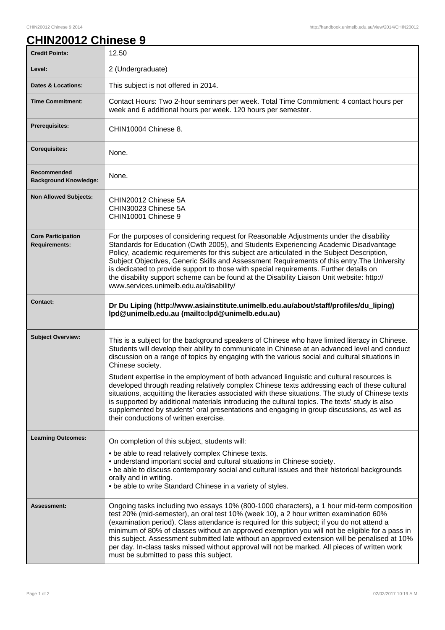## **CHIN20012 Chinese 9**

| <b>Credit Points:</b>                             | 12.50                                                                                                                                                                                                                                                                                                                                                                                                                                                                                                                                                                                                                                                                                                                                                                                                                                                               |
|---------------------------------------------------|---------------------------------------------------------------------------------------------------------------------------------------------------------------------------------------------------------------------------------------------------------------------------------------------------------------------------------------------------------------------------------------------------------------------------------------------------------------------------------------------------------------------------------------------------------------------------------------------------------------------------------------------------------------------------------------------------------------------------------------------------------------------------------------------------------------------------------------------------------------------|
| Level:                                            | 2 (Undergraduate)                                                                                                                                                                                                                                                                                                                                                                                                                                                                                                                                                                                                                                                                                                                                                                                                                                                   |
| <b>Dates &amp; Locations:</b>                     | This subject is not offered in 2014.                                                                                                                                                                                                                                                                                                                                                                                                                                                                                                                                                                                                                                                                                                                                                                                                                                |
| <b>Time Commitment:</b>                           | Contact Hours: Two 2-hour seminars per week. Total Time Commitment: 4 contact hours per<br>week and 6 additional hours per week. 120 hours per semester.                                                                                                                                                                                                                                                                                                                                                                                                                                                                                                                                                                                                                                                                                                            |
| <b>Prerequisites:</b>                             | CHIN10004 Chinese 8.                                                                                                                                                                                                                                                                                                                                                                                                                                                                                                                                                                                                                                                                                                                                                                                                                                                |
| <b>Corequisites:</b>                              | None.                                                                                                                                                                                                                                                                                                                                                                                                                                                                                                                                                                                                                                                                                                                                                                                                                                                               |
| Recommended<br><b>Background Knowledge:</b>       | None.                                                                                                                                                                                                                                                                                                                                                                                                                                                                                                                                                                                                                                                                                                                                                                                                                                                               |
| <b>Non Allowed Subjects:</b>                      | CHIN20012 Chinese 5A<br>CHIN30023 Chinese 5A<br>CHIN10001 Chinese 9                                                                                                                                                                                                                                                                                                                                                                                                                                                                                                                                                                                                                                                                                                                                                                                                 |
| <b>Core Participation</b><br><b>Requirements:</b> | For the purposes of considering request for Reasonable Adjustments under the disability<br>Standards for Education (Cwth 2005), and Students Experiencing Academic Disadvantage<br>Policy, academic requirements for this subject are articulated in the Subject Description,<br>Subject Objectives, Generic Skills and Assessment Requirements of this entry. The University<br>is dedicated to provide support to those with special requirements. Further details on<br>the disability support scheme can be found at the Disability Liaison Unit website: http://<br>www.services.unimelb.edu.au/disability/                                                                                                                                                                                                                                                    |
| <b>Contact:</b>                                   | Dr Du Liping (http://www.asiainstitute.unimelb.edu.au/about/staff/profiles/du_liping)<br>lpd@unimelb.edu.au (mailto:lpd@unimelb.edu.au)                                                                                                                                                                                                                                                                                                                                                                                                                                                                                                                                                                                                                                                                                                                             |
| <b>Subject Overview:</b>                          | This is a subject for the background speakers of Chinese who have limited literacy in Chinese.<br>Students will develop their ability to communicate in Chinese at an advanced level and conduct<br>discussion on a range of topics by engaging with the various social and cultural situations in<br>Chinese society.<br>Student expertise in the employment of both advanced linguistic and cultural resources is<br>developed through reading relatively complex Chinese texts addressing each of these cultural<br>situations, acquitting the literacies associated with these situations. The study of Chinese texts<br>is supported by additional materials introducing the cultural topics. The texts' study is also<br>supplemented by students' oral presentations and engaging in group discussions, as well as<br>their conductions of written exercise. |
| <b>Learning Outcomes:</b>                         | On completion of this subject, students will:<br>. be able to read relatively complex Chinese texts.<br>• understand important social and cultural situations in Chinese society.<br>. be able to discuss contemporary social and cultural issues and their historical backgrounds<br>orally and in writing.<br>• be able to write Standard Chinese in a variety of styles.                                                                                                                                                                                                                                                                                                                                                                                                                                                                                         |
| <b>Assessment:</b>                                | Ongoing tasks including two essays 10% (800-1000 characters), a 1 hour mid-term composition<br>test 20% (mid-semester), an oral test 10% (week 10), a 2 hour written examination 60%<br>(examination period). Class attendance is required for this subject; if you do not attend a<br>minimum of 80% of classes without an approved exemption you will not be eligible for a pass in<br>this subject. Assessment submitted late without an approved extension will be penalised at 10%<br>per day. In-class tasks missed without approval will not be marked. All pieces of written work<br>must be submitted to pass this subject.                                                                                                                                                                                                                                |